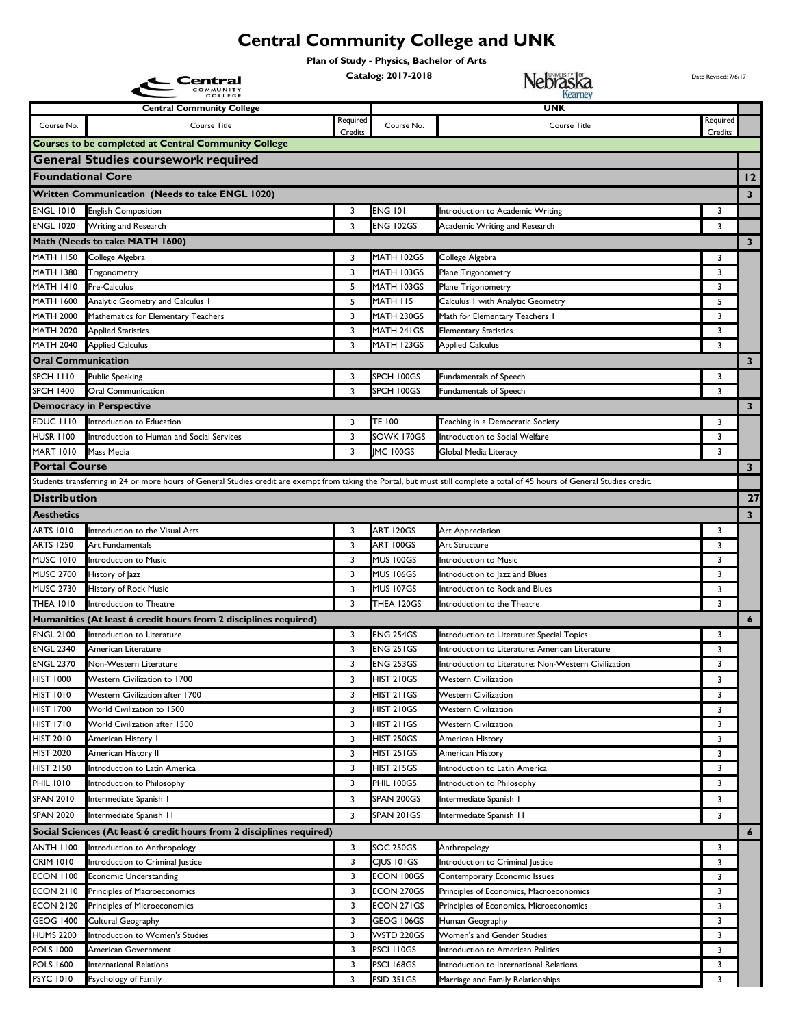## **Central Community College and UNK**

**Plan of Study - Physics, Bachelor of Arts**

|                           | Central                                                                                                                                                                       |          | Catalog: 2017-2018             | Nebraska                                             | Date Revised: 7/6/17 |                         |
|---------------------------|-------------------------------------------------------------------------------------------------------------------------------------------------------------------------------|----------|--------------------------------|------------------------------------------------------|----------------------|-------------------------|
|                           | <b>Central Community College</b>                                                                                                                                              |          |                                | <b>UNK</b>                                           |                      |                         |
| Course No.                | <b>Course Title</b>                                                                                                                                                           | Required | Course No.                     | Course Title                                         | Required             |                         |
|                           | <b>Courses to be completed at Central Community College</b>                                                                                                                   | Credits  |                                |                                                      | Credits              |                         |
|                           | <b>General Studies coursework required</b>                                                                                                                                    |          |                                |                                                      |                      |                         |
| <b>Foundational Core</b>  |                                                                                                                                                                               |          |                                |                                                      |                      | $ 12\rangle$            |
|                           | <b>Written Communication (Needs to take ENGL 1020)</b>                                                                                                                        |          |                                |                                                      |                      | $\overline{\mathbf{3}}$ |
| <b>ENGL 1010</b>          | <b>English Composition</b>                                                                                                                                                    | 3        | <b>ENG 101</b>                 | Introduction to Academic Writing                     | 3                    |                         |
| <b>ENGL 1020</b>          | Writing and Research                                                                                                                                                          | 3        | <b>ENG 102GS</b>               | Academic Writing and Research                        | 3                    |                         |
|                           | Math (Needs to take MATH 1600)                                                                                                                                                |          |                                |                                                      |                      | $\overline{\mathbf{3}}$ |
| <b>MATH 1150</b>          | College Algebra                                                                                                                                                               | 3        | MATH 102GS                     | College Algebra                                      | 3                    |                         |
| MATH 1380                 | Trigonometry                                                                                                                                                                  | 3        | MATH 103GS                     | Plane Trigonometry                                   | 3                    |                         |
| <b>MATH 1410</b>          | Pre-Calculus                                                                                                                                                                  | 5        | MATH 103GS                     | Plane Trigonometry                                   | 3                    |                         |
| MATH 1600                 | Analytic Geometry and Calculus I                                                                                                                                              | 5        | <b>MATH 115</b>                | Calculus I with Analytic Geometry                    | 5                    |                         |
| <b>MATH 2000</b>          | Mathematics for Elementary Teachers                                                                                                                                           | 3        | MATH 230GS                     | Math for Elementary Teachers I                       | 3                    |                         |
| MATH 2020                 | <b>Applied Statistics</b>                                                                                                                                                     | 3        | MATH 241GS                     | <b>Elementary Statistics</b>                         | 3                    |                         |
| <b>MATH 2040</b>          | <b>Applied Calculus</b>                                                                                                                                                       | 3        | MATH 123GS                     | <b>Applied Calculus</b>                              | 3                    |                         |
| <b>Oral Communication</b> |                                                                                                                                                                               |          |                                |                                                      |                      | $\mathbf{3}$            |
| <b>SPCH 1110</b>          | <b>Public Speaking</b>                                                                                                                                                        | 3        | SPCH 100GS                     | <b>Fundamentals of Speech</b>                        | 3                    |                         |
| <b>SPCH 1400</b>          | Oral Communication                                                                                                                                                            | 3        | SPCH 100GS                     | Fundamentals of Speech                               | 3                    |                         |
|                           | <b>Democracy in Perspective</b>                                                                                                                                               |          |                                |                                                      |                      | $\overline{\mathbf{3}}$ |
| <b>EDUC 1110</b>          | Introduction to Education                                                                                                                                                     | 3        | TE 100                         | Teaching in a Democratic Society                     | 3                    |                         |
| <b>HUSR 1100</b>          | Introduction to Human and Social Services                                                                                                                                     | 3        | SOWK 170GS                     | Introduction to Social Welfare                       | $\overline{3}$       |                         |
| <b>MART 1010</b>          | Mass Media                                                                                                                                                                    | 3        | <b>IMC 100GS</b>               | Global Media Literacy                                | 3                    |                         |
| <b>Portal Course</b>      |                                                                                                                                                                               |          |                                |                                                      |                      | 3 <sup>7</sup>          |
|                           | Students transferring in 24 or more hours of General Studies credit are exempt from taking the Portal, but must still complete a total of 45 hours of General Studies credit. |          |                                |                                                      |                      |                         |
| <b>Distribution</b>       |                                                                                                                                                                               |          |                                |                                                      |                      | 27                      |
| <b>Aesthetics</b>         |                                                                                                                                                                               |          |                                |                                                      |                      | $\overline{\mathbf{3}}$ |
| <b>ARTS 1010</b>          | Introduction to the Visual Arts                                                                                                                                               | 3        | <b>ART 120GS</b>               | Art Appreciation                                     | 3                    |                         |
| ARTS 1250                 | Art Fundamentals                                                                                                                                                              | 3        | ART 100GS                      | Art Structure                                        | 3                    |                         |
| <b>MUSC 1010</b>          | Introduction to Music                                                                                                                                                         | 3        | <b>MUS 100GS</b>               | Introduction to Music                                | 3                    |                         |
| <b>MUSC 2700</b>          | History of Jazz                                                                                                                                                               | 3        | <b>MUS 106GS</b>               | Introduction to Jazz and Blues                       | 3                    |                         |
| <b>MUSC 2730</b>          | History of Rock Music<br>Introduction to Theatre                                                                                                                              | 3        | <b>MUS 107GS</b><br>THEA 120GS | Introduction to Rock and Blues                       | 3<br>$\overline{3}$  |                         |
| THEA 1010                 | Humanities (At least 6 credit hours from 2 disciplines required)                                                                                                              | 3        |                                | Introduction to the Theatre                          |                      | $\boldsymbol{6}$        |
| <b>ENGL 2100</b>          | Introduction to Literature                                                                                                                                                    | 3        | <b>ENG 254GS</b>               | Introduction to Literature: Special Topics           | 3                    |                         |
| <b>ENGL 2340</b>          | American Literature                                                                                                                                                           | 3        | <b>ENG 251GS</b>               | Introduction to Literature: American Literature      | 3                    |                         |
| <b>ENGL 2370</b>          | Non-Western Literature                                                                                                                                                        | 3        | <b>ENG 253GS</b>               | Introduction to Literature: Non-Western Civilization | 3                    |                         |
| <b>HIST 1000</b>          | Western Civilization to 1700                                                                                                                                                  | 3        | <b>HIST 210GS</b>              | <b>Western Civilization</b>                          | 3                    |                         |
| <b>HIST 1010</b>          | Western Civilization after 1700                                                                                                                                               | 3        | HIST 211GS                     | <b>Western Civilization</b>                          | 3                    |                         |
| <b>HIST 1700</b>          | World Civilization to 1500                                                                                                                                                    | 3        | <b>HIST 210GS</b>              | <b>Western Civilization</b>                          | 3                    |                         |
| <b>HIST 1710</b>          | World Civilization after 1500                                                                                                                                                 | 3        | HIST 211GS                     | <b>Western Civilization</b>                          | 3                    |                         |
| <b>HIST 2010</b>          | American History I                                                                                                                                                            | 3        | HIST 250GS                     | American History                                     | 3                    |                         |
| <b>HIST 2020</b>          | American History II                                                                                                                                                           | 3        | HIST 251GS                     | American History                                     | 3                    |                         |
| <b>HIST 2150</b>          | Introduction to Latin America                                                                                                                                                 | 3        | HIST 215GS                     | Introduction to Latin America                        | 3                    |                         |
| <b>PHIL 1010</b>          | Introduction to Philosophy                                                                                                                                                    | 3        | PHIL 100GS                     | Introduction to Philosophy                           | 3                    |                         |
| SPAN 2010                 | Intermediate Spanish I                                                                                                                                                        | 3        | SPAN 200GS                     | Intermediate Spanish I                               | 3                    |                         |
| <b>SPAN 2020</b>          | Intermediate Spanish II                                                                                                                                                       | 3        | SPAN 201GS                     | Intermediate Spanish II                              | 3                    |                         |
|                           | Social Sciences (At least 6 credit hours from 2 disciplines required)                                                                                                         |          |                                |                                                      |                      | $\boldsymbol{6}$        |
| <b>ANTH 1100</b>          | Introduction to Anthropology                                                                                                                                                  | 3        | <b>SOC 250GS</b>               | Anthropology                                         | 3                    |                         |
| <b>CRIM 1010</b>          | Introduction to Criminal Justice                                                                                                                                              | 3        | CJUS 101GS                     | Introduction to Criminal Justice                     | 3                    |                         |
| <b>ECON 1100</b>          | Economic Understanding                                                                                                                                                        | 3        | ECON 100GS                     | Contemporary Economic Issues                         | 3                    |                         |
| <b>ECON 2110</b>          | Principles of Macroeconomics                                                                                                                                                  | 3        | ECON 270GS                     | Principles of Economics, Macroeconomics              | 3                    |                         |
| <b>ECON 2120</b>          | Principles of Microeconomics                                                                                                                                                  | 3        | ECON 271GS                     | Principles of Economics, Microeconomics              | 3                    |                         |
| GEOG 1400                 | Cultural Geography                                                                                                                                                            | 3        | GEOG 106GS                     | Human Geography                                      | 3                    |                         |
| <b>HUMS 2200</b>          | Introduction to Women's Studies                                                                                                                                               | 3        | WSTD 220GS                     | Women's and Gender Studies                           | 3                    |                         |
| <b>POLS 1000</b>          | American Government                                                                                                                                                           | 3        | <b>PSCI 110GS</b>              | Introduction to American Politics                    | 3                    |                         |
| <b>POLS 1600</b>          | International Relations                                                                                                                                                       | 3        | PSCI 168GS                     | Introduction to International Relations              | 3                    |                         |
| <b>PSYC 1010</b>          | Psychology of Family                                                                                                                                                          | 3        | FSID 351GS                     | Marriage and Family Relationships                    | 3                    |                         |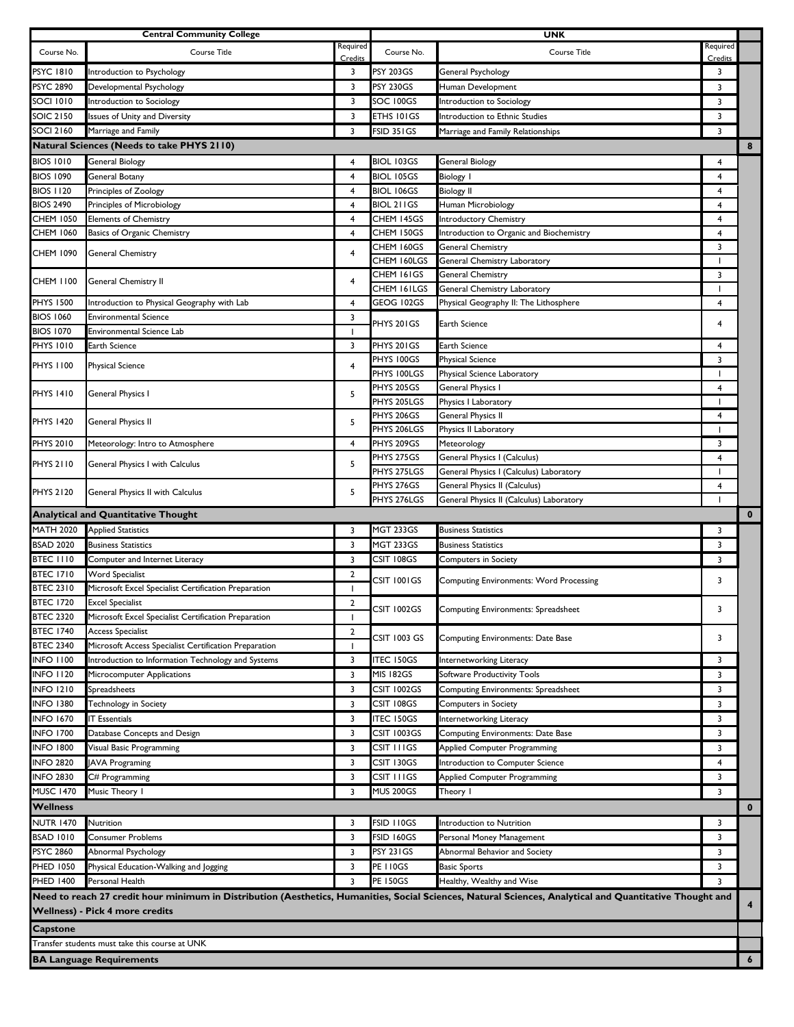|                                      | <b>Central Community College</b>                         |                     |                                  | <b>UNK</b>                                                                                                                                               |                                |                         |
|--------------------------------------|----------------------------------------------------------|---------------------|----------------------------------|----------------------------------------------------------------------------------------------------------------------------------------------------------|--------------------------------|-------------------------|
| Course No.                           | Course Title                                             | Required<br>Credits | Course No.                       | <b>Course Title</b>                                                                                                                                      | Required<br>Credits            |                         |
| <b>PSYC 1810</b>                     | Introduction to Psychology                               | 3                   | <b>PSY 203GS</b>                 | General Psychology                                                                                                                                       | 3                              |                         |
| <b>PSYC 2890</b>                     | Developmental Psychology                                 | 3                   | <b>PSY 230GS</b>                 | Human Development                                                                                                                                        | 3                              |                         |
| SOCI 1010                            | Introduction to Sociology                                | 3                   | SOC 100GS                        | Introduction to Sociology                                                                                                                                | 3                              |                         |
| SOIC 2150                            | Issues of Unity and Diversity                            | 3                   | ETHS 101GS                       | Introduction to Ethnic Studies                                                                                                                           | 3                              |                         |
| SOCI 2160                            | Marriage and Family                                      | 3                   | FSID 351GS                       | Marriage and Family Relationships                                                                                                                        | 3                              |                         |
|                                      | <b>Natural Sciences (Needs to take PHYS 2110)</b>        |                     |                                  |                                                                                                                                                          |                                | 8                       |
| <b>BIOS 1010</b>                     | <b>General Biology</b>                                   | $\overline{4}$      | <b>BIOL 103GS</b>                | <b>General Biology</b>                                                                                                                                   | 4                              |                         |
| <b>BIOS 1090</b>                     | <b>General Botany</b>                                    | 4                   | <b>BIOL 105GS</b>                | <b>Biology I</b>                                                                                                                                         | 4                              |                         |
| <b>BIOS 1120</b>                     | Principles of Zoology                                    | 4                   | <b>BIOL 106GS</b>                | <b>Biology II</b>                                                                                                                                        | $\overline{4}$                 |                         |
| <b>BIOS 2490</b>                     | Principles of Microbiology                               | 4                   | BIOL 211GS                       | Human Microbiology                                                                                                                                       | 4                              |                         |
| <b>CHEM 1050</b>                     | <b>Elements of Chemistry</b>                             | 4                   | CHEM 145GS                       | Introductory Chemistry                                                                                                                                   | 4                              |                         |
| CHEM 1060                            | Basics of Organic Chemistry                              | 4                   | CHEM 150GS                       | Introduction to Organic and Biochemistry                                                                                                                 | 4                              |                         |
| <b>CHEM 1090</b>                     | <b>General Chemistry</b>                                 | 4                   | CHEM 160GS                       | General Chemistry                                                                                                                                        | 3                              |                         |
|                                      |                                                          |                     | CHEM 160LGS                      | General Chemistry Laboratory                                                                                                                             | -1                             |                         |
| <b>CHEM 1100</b>                     | General Chemistry II                                     | 4                   | CHEM 161GS                       | <b>General Chemistry</b>                                                                                                                                 | 3                              |                         |
| <b>PHYS 1500</b>                     | Introduction to Physical Geography with Lab              | 4                   | CHEM 161LGS<br>GEOG 102GS        | General Chemistry Laboratory<br>Physical Geography II: The Lithosphere                                                                                   | 4                              |                         |
| <b>BIOS 1060</b>                     | <b>Environmental Science</b>                             | 3                   |                                  |                                                                                                                                                          |                                |                         |
| <b>BIOS 1070</b>                     | <b>Environmental Science Lab</b>                         | 1                   | PHYS 201GS                       | Earth Science                                                                                                                                            | 4                              |                         |
| <b>PHYS 1010</b>                     | Earth Science                                            | 3                   | PHYS 201GS                       | <b>Earth Science</b>                                                                                                                                     | 4                              |                         |
|                                      |                                                          |                     | PHYS 100GS                       | <b>Physical Science</b>                                                                                                                                  | 3                              |                         |
| <b>PHYS 1100</b>                     | <b>Physical Science</b>                                  | $\overline{4}$      | PHYS 100LGS                      | Physical Science Laboratory                                                                                                                              |                                |                         |
| <b>PHYS 1410</b>                     |                                                          |                     | PHYS 205GS                       | General Physics I                                                                                                                                        | 4                              |                         |
|                                      | General Physics I                                        | 5                   | PHYS 205LGS                      | Physics I Laboratory                                                                                                                                     |                                |                         |
| <b>PHYS 1420</b>                     | General Physics II                                       | 5                   | PHYS 206GS                       | General Physics II                                                                                                                                       | 4                              |                         |
|                                      |                                                          |                     | PHYS 206LGS                      | Physics II Laboratory                                                                                                                                    | -1                             |                         |
| <b>PHYS 2010</b>                     | Meteorology: Intro to Atmosphere                         | 4                   | PHYS 209GS                       | Meteorology                                                                                                                                              | 3                              |                         |
| <b>PHYS 2110</b>                     | General Physics I with Calculus                          | 5                   | PHYS 275GS                       | General Physics I (Calculus)                                                                                                                             | 4                              |                         |
|                                      |                                                          |                     | PHYS 275LGS<br>PHYS 276GS        | General Physics I (Calculus) Laboratory                                                                                                                  | $\overline{\phantom{a}}$       |                         |
| <b>PHYS 2120</b>                     | General Physics II with Calculus                         | 5                   | PHYS 276LGS                      | General Physics II (Calculus)<br>General Physics II (Calculus) Laboratory                                                                                | $\overline{4}$<br>$\mathbf{I}$ |                         |
|                                      | <b>Analytical and Quantitative Thought</b>               |                     |                                  |                                                                                                                                                          |                                | $\mathbf 0$             |
| <b>MATH 2020</b>                     | <b>Applied Statistics</b>                                | 3                   | <b>MGT 233GS</b>                 | <b>Business Statistics</b>                                                                                                                               | 3                              |                         |
| <b>BSAD 2020</b>                     | <b>Business Statistics</b>                               | 3                   | MGT 233GS                        | <b>Business Statistics</b>                                                                                                                               | 3                              |                         |
| <b>BTEC 1110</b>                     | Computer and Internet Literacy                           | 3                   | CSIT 108GS                       | <b>Computers in Society</b>                                                                                                                              | 3                              |                         |
| <b>BTEC 1710</b>                     | Word Specialist                                          | $\overline{2}$      | CSIT 1001GS                      |                                                                                                                                                          |                                |                         |
| <b>BTEC 2310</b>                     | Microsoft Excel Specialist Certification Preparation     | ı                   |                                  | <b>Computing Environments: Word Processing</b>                                                                                                           | 3                              |                         |
| <b>BTEC 1720</b>                     | <b>Excel Specialist</b>                                  | $\overline{2}$      | <b>CSIT 1002GS</b>               | Computing Environments: Spreadsheet                                                                                                                      | 3                              |                         |
| <b>BTEC 2320</b>                     | Microsoft Excel Specialist Certification Preparation     |                     |                                  |                                                                                                                                                          |                                |                         |
| <b>BTEC 1740</b>                     | <b>Access Specialist</b>                                 | $\overline{2}$      | CSIT 1003 GS                     | Computing Environments: Date Base                                                                                                                        | 3                              |                         |
| <b>BTEC 2340</b>                     | Microsoft Access Specialist Certification Preparation    | -1                  |                                  |                                                                                                                                                          |                                |                         |
| <b>INFO 1100</b>                     | Introduction to Information Technology and Systems       | 3                   | <b>ITEC 150GS</b>                | Internetworking Literacy                                                                                                                                 | 3                              |                         |
| <b>INFO 1120</b>                     | Microcomputer Applications                               | 3                   | <b>MIS 182GS</b>                 | Software Productivity Tools                                                                                                                              | 3                              |                         |
| <b>INFO 1210</b>                     | Spreadsheets                                             | 3                   | CSIT 1002GS                      | Computing Environments: Spreadsheet                                                                                                                      | 3                              |                         |
| <b>INFO 1380</b>                     | Technology in Society                                    | 3                   | CSIT 108GS                       | <b>Computers in Society</b>                                                                                                                              | 3                              |                         |
| <b>INFO 1670</b>                     | <b>IT Essentials</b>                                     | 3                   | <b>ITEC 150GS</b><br>CSIT 1003GS | Internetworking Literacy                                                                                                                                 | 3                              |                         |
| <b>INFO 1700</b><br><b>INFO 1800</b> | Database Concepts and Design<br>Visual Basic Programming | 3<br>3              | CSIT I I I GS                    | Computing Environments: Date Base<br>Applied Computer Programming                                                                                        | 3<br>3                         |                         |
| <b>INFO 2820</b>                     | <b>JAVA Programing</b>                                   | 3                   | CSIT 130GS                       | Introduction to Computer Science                                                                                                                         | 4                              |                         |
| <b>INFO 2830</b>                     | C# Programming                                           | 3                   | CSIT I I I GS                    | Applied Computer Programming                                                                                                                             | 3                              |                         |
| <b>MUSC 1470</b>                     | Music Theory I                                           | 3                   | <b>MUS 200GS</b>                 | Theory I                                                                                                                                                 | 3                              |                         |
| <b>Wellness</b>                      |                                                          |                     |                                  |                                                                                                                                                          |                                | $\mathbf{0}$            |
| <b>NUTR 1470</b>                     | Nutrition                                                | 3                   | FSID 110GS                       | Introduction to Nutrition                                                                                                                                | 3                              |                         |
| <b>BSAD 1010</b>                     | <b>Consumer Problems</b>                                 | 3                   | <b>FSID 160GS</b>                | Personal Money Management                                                                                                                                | 3                              |                         |
| <b>PSYC 2860</b>                     | Abnormal Psychology                                      | 3                   | <b>PSY 231GS</b>                 | Abnormal Behavior and Society                                                                                                                            | 3                              |                         |
| PHED 1050                            | Physical Education-Walking and Jogging                   | 3                   | <b>PE 110GS</b>                  | <b>Basic Sports</b>                                                                                                                                      | 3                              |                         |
| <b>PHED 1400</b>                     | Personal Health                                          | 3                   | <b>PE 150GS</b>                  | Healthy, Wealthy and Wise                                                                                                                                | 3                              |                         |
|                                      |                                                          |                     |                                  | Need to reach 27 credit hour minimum in Distribution (Aesthetics, Humanities, Social Sciences, Natural Sciences, Analytical and Quantitative Thought and |                                |                         |
|                                      | Wellness) - Pick 4 more credits                          |                     |                                  |                                                                                                                                                          |                                | $\overline{\mathbf{4}}$ |
| Capstone                             |                                                          |                     |                                  |                                                                                                                                                          |                                |                         |
|                                      | Transfer students must take this course at UNK           |                     |                                  |                                                                                                                                                          |                                |                         |
|                                      | <b>BA Language Requirements</b>                          |                     |                                  |                                                                                                                                                          |                                | 6 <sup>1</sup>          |
|                                      |                                                          |                     |                                  |                                                                                                                                                          |                                |                         |